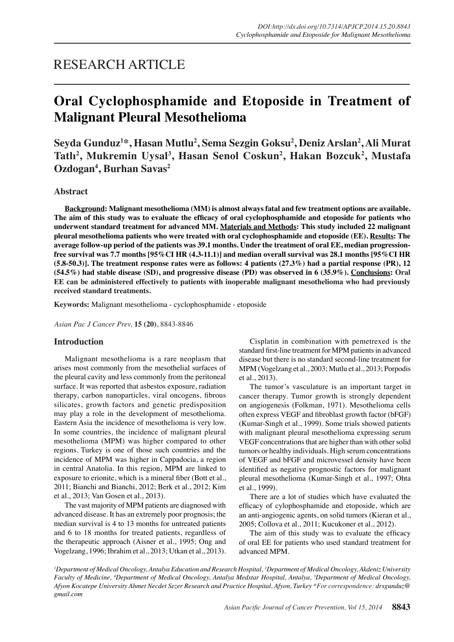## RESEARCH ARTICLE

# **Oral Cyclophosphamide and Etoposide in Treatment of Malignant Pleural Mesothelioma**

**Seyda Gunduz1 \*, Hasan Mutlu2 , Sema Sezgin Goksu2 , Deniz Arslan2 , Ali Murat Tatlı<sup>2</sup> , Mukremin Uysal3 , Hasan Senol Coskun2 , Hakan Bozcuk2 , Mustafa Ozdogan4 , Burhan Savas2**

## **Abstract**

**Background: Malignant mesothelioma (MM) is almost always fatal and few treatment options are available. The aim of this study was to evaluate the efficacy of oral cyclophosphamide and etoposide for patients who underwent standard treatment for advanced MM. Materials and Methods: This study included 22 malignant pleural mesothelioma patients who were treated with oral cyclophosphamide and etoposide (EE). Results: The average follow-up period of the patients was 39.1 months. Under the treatment of oral EE, median progressionfree survival was 7.7 months [95%CI HR (4.3-11.1)] and median overall survival was 28.1 months [95%CI HR (5.8-50.3)]. The treatment response rates were as follows: 4 patients (27.3%) had a partial response (PR), 12 (54.5%) had stable disease (SD), and progressive disease (PD) was observed in 6 (35.9%). Conclusions: Oral EE can be administered effectively to patients with inoperable malignant mesothelioma who had previously received standard treatments.**

**Keywords:** Malignant mesothelioma - cyclophosphamide - etoposide

*Asian Pac J Cancer Prev,* **15 (20)**, 8843-8846

## **Introduction**

Malignant mesothelioma is a rare neoplasm that arises most commonly from the mesothelial surfaces of the pleural cavity and less commonly from the peritoneal surface. It was reported that asbestos exposure, radiation therapy, carbon nanoparticles, viral oncogens, fibrous silicates, growth factors and genetic predisposition may play a role in the development of mesothelioma. Eastern Asia the incidence of mesothelioma is very low. In some countries, the incidence of malignant pleural mesothelioma (MPM) was higher compared to other regions. Turkey is one of those such countries and the incidence of MPM was higher in Cappadocia, a region in central Anatolia. In this region, MPM are linked to exposure to erionite, which is a mineral fiber (Bott et al., 2011; Bianchi and Bianchi, 2012; Berk et al., 2012; Kim et al., 2013; Van Gosen et al., 2013).

The vast majority of MPM patients are diagnosed with advanced disease. It has an extremely poor prognosis; the median survival is 4 to 13 months for untreated patients and 6 to 18 months for treated patients, regardless of the therapeutic approach (Aisner et al., 1995; Ong and Vogelzang, 1996; Ibrahim et al., 2013; Utkan et al., 2013).

Cisplatin in combination with pemetrexed is the standard first-line treatment for MPM patients in advanced disease but there is no standard second-line treatment for MPM (Vogelzang et al., 2003; Mutlu et al., 2013; Porpodis et al., 2013).

The tumor's vasculature is an important target in cancer therapy. Tumor growth is strongly dependent on angiogenesis (Folkman, 1971). Mesothelioma cells often express VEGF and fibroblast growth factor (bFGF) (Kumar-Singh et al., 1999). Some trials showed patients with malignant pleural mesothelioma expressing serum VEGF concentrations that are higher than with other solid tumors or healthy individuals. High serum concentrations of VEGF and bFGF and microvessel density have been identified as negative prognostic factors for malignant pleural mesothelioma (Kumar-Singh et al., 1997; Ohta et al., 1999).

There are a lot of studies which have evaluated the efficacy of cylophosphamide and etoposide, which are an anti-angiogenic agents, on solid tumors (Kieran et al., 2005; Collova et al., 2011; Kucukoner et al., 2012).

The aim of this study was to evaluate the efficacy of oral EE for patients who used standard treatment for advanced MPM.

*1 Department of Medical Oncology, Antalya Education and Research Hospital, 2 Department of Medical Oncology, Akdeniz University Faculty of Medicine, 4 Department of Medical Oncology, Antalya Medstar Hospital, Antalya, 3 Department of Medical Oncology, Afyon Kocatepe University Ahmet Necdet Sezer Research and Practice Hospital, Afyon, Turkey \*For correspondence: drsgunduz@ gmail.com*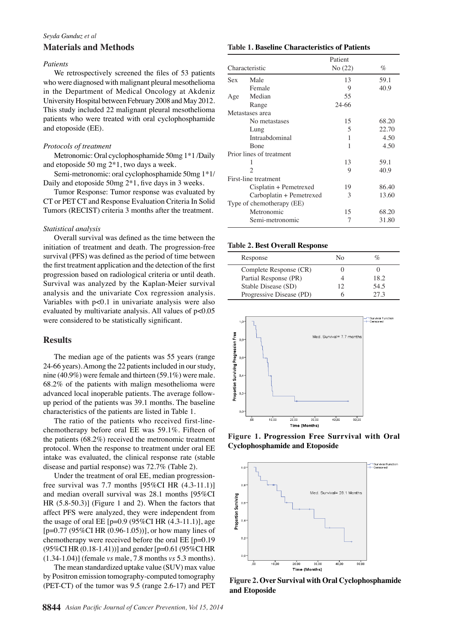#### *Seyda Gunduz et al*

## **Materials and Methods**

#### *Patients*

We retrospectively screened the files of 53 patients who were diagnosed with malignant pleural mesothelioma in the Department of Medical Oncology at Akdeniz University Hospital between February 2008 and May 2012. This study included 22 malignant pleural mesothelioma patients who were treated with oral cyclophosphamide and etoposide (EE).

#### *Protocols of treatment*

Metronomic: Oral cyclophosphamide 50mg 1\*1 /Daily and etoposide 50 mg 2\*1, two days a week.

Semi-metronomic: oral cyclophosphamide 50mg 1\*1/ Daily and etoposide 50mg 2\*1, five days in 3 weeks.

Tumor Response: Tumor response was evaluated by CT or PET CT and Response Evaluation Criteria In Solid Tumors (RECIST) criteria 3 months after the treatment.

### *Statistical analysis*

Overall survival was defined as the time between the initiation of treatment and death. The progression-free survival (PFS) was defined as the period of time between the first treatment application and the detection of the first progression based on radiological criteria or until death. Survival was analyzed by the Kaplan-Meier survival analysis and the univariate Cox regression analysis. Variables with p<0.1 in univariate analysis were also evaluated by multivariate analysis. All values of p<0.05 were considered to be statistically significant.

#### **Results**

The median age of the patients was 55 years (range 24-66 years). Among the 22 patients included in our study, nine (40.9%) were female and thirteen (59.1%) were male. 68.2% of the patients with malign mesothelioma were advanced local inoperable patients. The average followup period of the patients was 39.1 months. The baseline characteristics of the patients are listed in Table 1.

The ratio of the patients who received first-linechemotherapy before oral EE was 59.1%. Fifteen of the patients (68.2%) received the metronomic treatment protocol. When the response to treatment under oral EE intake was evaluated, the clinical response rate (stable disease and partial response) was 72.7% (Table 2).

Under the treatment of oral EE, median progressionfree survival was 7.7 months [95%CI HR (4.3-11.1)] and median overall survival was 28.1 months [95%CI HR (5.8-50.3)] (Figure 1 and 2). When the factors that affect PFS were analyzed, they were independent from the usage of oral EE  $[p=0.9 (95\% CI HR (4.3-11.1)],$  age  $[p=0.77 (95\% CI HR (0.96-1.05))]$ , or how many lines of chemotherapy were received before the oral EE [p=0.19 (95%CI HR (0.18-1.41))] and gender [p=0.61 (95%CI HR (1.34-1.04)] (female *vs* male, 7.8 months *vs* 5.3 months).

The mean standardized uptake value (SUV) max value by Positron emission tomography-computed tomography (PET-CT) of the tumor was 9.5 (range 2.6-17) and PET

#### **Table 1. Baseline Characteristics of Patients**

| Patient |       |
|---------|-------|
| No(22)  | $\%$  |
| 13      | 59.1  |
| 9       | 40.9  |
| 55      |       |
| 24-66   |       |
|         |       |
| 15      | 68.20 |
| 5       | 22.70 |
| 1       | 4.50  |
| 1       | 4.50  |
|         |       |
| 13      | 59.1  |
| 9       | 40.9  |
|         |       |
| 19      | 86.40 |
| 3       | 13.60 |
|         |       |
| 15      | 68.20 |
| 7       | 31.80 |
|         |       |

#### **Table 2. Best Overall Response**

| Response                 | Nο |      |
|--------------------------|----|------|
| Complete Response (CR)   |    |      |
| Partial Response (PR)    |    | 18.2 |
| Stable Disease (SD)      | 12 | 54.5 |
| Progressive Disease (PD) |    | 273  |



**Figure 1. Progression Free Surrvival with Oral Cyclophosphamide and Etoposide**



**Figure 2. Over Survival with Oral Cyclophosphamide and Etoposide**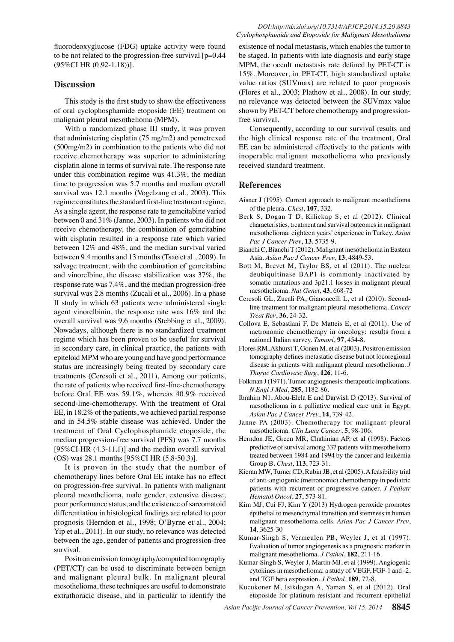fluorodeoxyglucose (FDG) uptake activity were found to be not related to the progression-free survival [p=0.44 (95%CI HR (0.92-1.18))].

## **Discussion**

This study is the first study to show the effectiveness of oral cyclophosphamide etoposide (EE) treatment on malignant pleural mesothelioma (MPM).

With a randomized phase III study, it was proven that administering cisplatin (75 mg/m2) and pemetrexed (500mg/m2) in combination to the patients who did not receive chemotherapy was superior to administering cisplatin alone in terms of survival rate. The response rate under this combination regime was 41.3%, the median time to progression was 5.7 months and median overall survival was 12.1 months (Vogelzang et al., 2003). This regime constitutes the standard first-line treatment regime. As a single agent, the response rate to gemcitabine varied between 0 and 31% (Janne, 2003). In patients who did not receive chemotherapy, the combination of gemcitabine with cisplatin resulted in a response rate which varied between 12% and 48%, and the median survival varied between 9.4 months and 13 months (Tsao et al., 2009). In salvage treatment, with the combination of gemcitabine and vinorelbine, the disease stabilization was 37%, the response rate was 7.4%, and the median progression-free survival was 2.8 months (Zucali et al., 2006). In a phase II study in which 63 patients were administered single agent vinorelbinin, the response rate was 16% and the overall survival was 9.6 months (Stebbing et al., 2009). Nowadays, although there is no standardized treatment regime which has been proven to be useful for survival in secondary care, in clinical practice, the patients with epiteloid MPM who are young and have good performance status are increasingly being treated by secondary care treatments (Ceresoli et al., 2011). Among our patients, the rate of patients who received first-line-chemotherapy before Oral EE was 59.1%, whereas 40.9% received second-line-chemotherapy. With the treatment of Oral EE, in 18.2% of the patients, we achieved partial response and in 54.5% stable disease was achieved. Under the treatment of Oral Cyclophosphamide etoposide, the median progression-free survival (PFS) was 7.7 months [ $95\%$ CI HR  $(4.3-11.1)$ ] and the median overall survival (OS) was 28.1 months [95%CI HR (5.8-50.3)].

It is proven in the study that the number of chemotherapy lines before Oral EE intake has no effect on progression-free survival. In patients with malignant pleural mesothelioma, male gender, extensive disease, poor performance status, and the existence of sarcomatoid differentiation in histological findings are related to poor prognosis (Herndon et al., 1998; O'Byrne et al., 2004; Yip et al., 2011). In our study, no relevance was detected between the age, gender of patients and progression-free survival.

Positron emission tomography/computed tomography (PET/CT) can be used to discriminate between benign and malignant pleural bulk. In malignant pleural mesothelioma, these techniques are useful to demonstrate extrathoracic disease, and in particular to identify the

existence of nodal metastasis, which enables the tumor to be staged. In patients with late diagnosis and early stage MPM, the occult metastasis rate defined by PET-CT is 15%. Moreover, in PET-CT, high standardized uptake value ratios (SUVmax) are related to poor prognosis (Flores et al., 2003; Plathow et al., 2008). In our study, no relevance was detected between the SUVmax value shown by PET-CT before chemotherapy and progressionfree survival.

Consequently, according to our survival results and the high clinical response rate of the treatment, Oral EE can be administered effectively to the patients with inoperable malignant mesothelioma who previously received standard treatment.

### **References**

- Aisner J (1995). Current approach to malignant mesothelioma of the pleura. *Chest*, **107**, 332.
- Berk S, Dogan T D, Kilickap S, et al (2012). Clinical characteristics, treatment and survival outcomes in malignant mesothelioma: eighteen years' experience in Turkey. *Asian Pac J Cancer Prev*, **13**, 5735-9.
- Bianchi C, Bianchi T (2012). Malignant mesothelioma in Eastern Asia. *Asian Pac J Cancer Prev*, **13**, 4849-53.
- Bott M, Brevet M, Taylor BS, et al (2011). The nuclear deubiquitinase BAP1 is commonly inactivated by somatic mutations and 3p21.1 losses in malignant pleural mesothelioma. *Nat Genet*, **43**, 668-72
- Ceresoli GL, Zucali PA, Gianoncelli L, et al (2010). Secondline treatment for malignant pleural mesothelioma. *Cancer Treat Rev*, **36**, 24-32.
- Collova E, Sebastiani F, De Matteis E, et al (2011). Use of metronomic chemotherapy in oncology: results from a national Italian survey. *Tumori*, **97**, 454-8.
- Flores RM, Akhurst T, Gonen M, et al (2003). Positron emission tomography defines metastatic disease but not locoregional disease in patients with malignant pleural mesothelioma. *J Thorac Cardiovasc Surg*, **126**, 11-6.
- Folkman J (1971). Tumor angiogenesis: therapeutic implications. *N Engl J Med*, **285**, 1182-86.
- Ibrahim N1, Abou-Elela E and Darwish D (2013). Survival of mesothelioma in a palliative medical care unit in Egypt. *Asian Pac J Cancer Prev*, **14**, 739-42.
- Janne PA (2003). Chemotherapy for malignant pleural mesothelioma. *Clin Lung Cancer*, **5**, 98-106.
- Herndon JE, Green MR, Chahinian AP, et al (1998). Factors predictive of survival among 337 patients with mesothelioma treated between 1984 and 1994 by the cancer and leukemia Group B. *Chest*, **113**, 723-31.
- Kieran MW, Turner CD, Rubin JB, et al (2005). A feasibility trial of anti-angiogenic (metronomic) chemotherapy in pediatric patients with recurrent or progressive cancer. *J Pediatr Hematol Oncol*, **27**, 573-81.
- Kim MJ, Cui FJ, Kim Y (2013) Hydrogen peroxide promotes epithelial to mesenchymal transition and stemness in human malignant mesothelioma cells. *Asian Pac J Cancer Prev*, **14**, 3625-30
- Kumar-Singh S, Vermeulen PB, Weyler J, et al (1997). Evaluation of tumor angiogenesis as a prognostic marker in malignant mesothelioma. *J Pathol*, **182**, 211-16.
- Kumar-Singh S, Weyler J, Martin MJ, et al (1999). Angiogenic cytokines in mesothelioma: a study of VEGF, FGF-1 and -2, and TGF beta expression. *J Pathol*, **189**, 72-8.
- Kucukoner M, Isikdogan A, Yaman S, et al (2012). Oral etoposide for platinum-resistant and recurrent epithelial